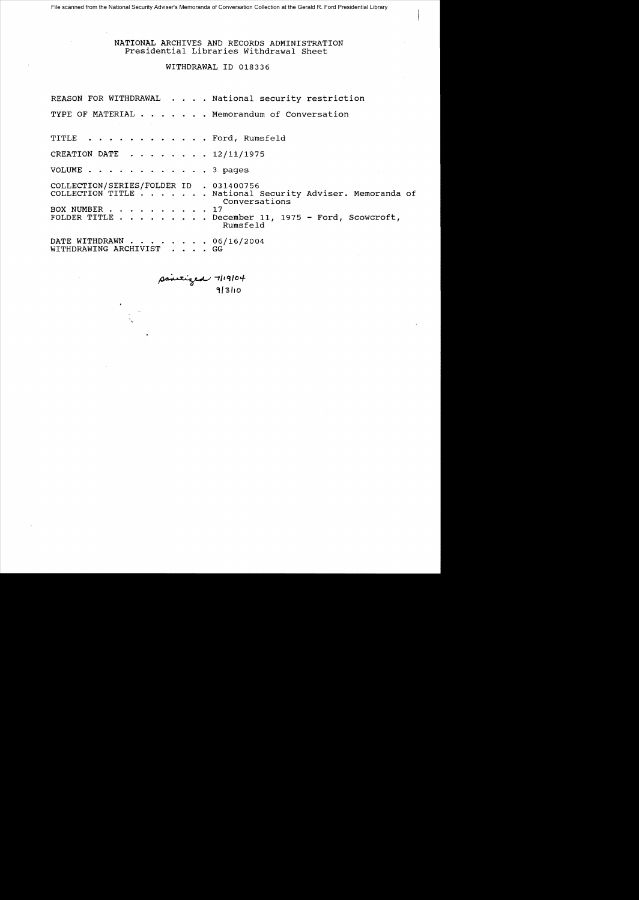File scanned from the National Security Adviser's Memoranda of Conversation Collection at the Gerald R. Ford Presidential Library

# NATIONAL ARCHIVES AND RECORDS ADMINISTRATION Presidential Libraries Withdrawal Sheet

### WITHDRAWAL ID 018336

| REASON FOR WITHDRAWAL National security restriction                                                                                                                                                    |
|--------------------------------------------------------------------------------------------------------------------------------------------------------------------------------------------------------|
| TYPE OF MATERIAL Memorandum of Conversation                                                                                                                                                            |
| TITLE Ford, Rumsfeld                                                                                                                                                                                   |
| CREATION DATE $\ldots$ $\ldots$ $\ldots$ $\frac{12}{11}{1975}$                                                                                                                                         |
| VOLUME 3 pages                                                                                                                                                                                         |
| COLLECTION/SERIES/FOLDER ID . 031400756<br>COLLECTION TITLE National Security Adviser. Memoranda of<br>Conversations<br>BOX NUMBER 17<br>FOLDER TITLE December 11, 1975 - Ford, Scowcroft,<br>Rumsfeld |
| DATE WITHDRAWN 06/16/2004<br>WITHDRAWING ARCHIVIST GG                                                                                                                                                  |

 $\mu$ itized 7/19/04 **«tl** '3 "0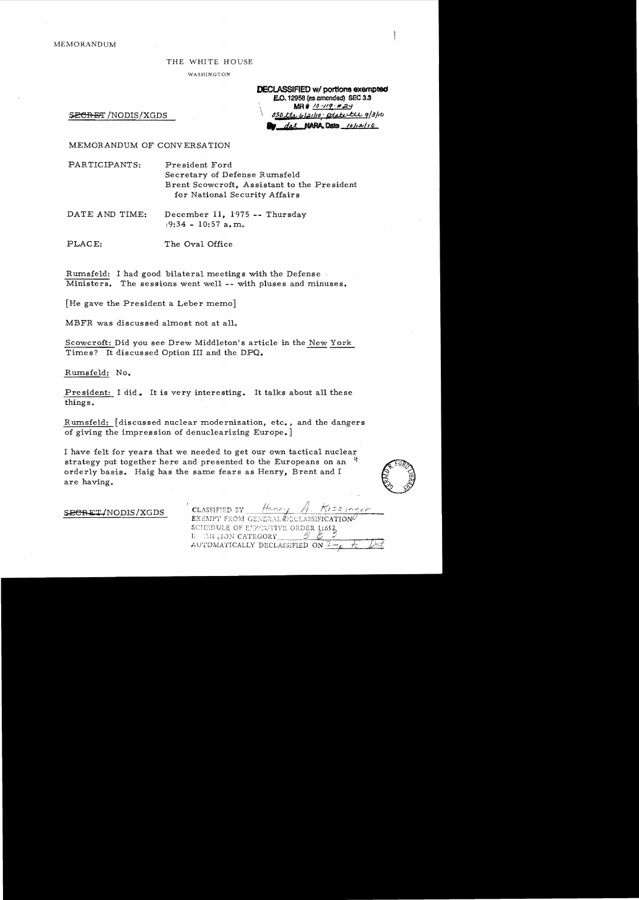MEMORANDUM

#### THE WHITE HOUSE

WASHINGTON

**DECLASSIFIED w/ portions exempted** E.O. 12958 (as amended) SEC 3.3  $MR#$  /0 -119 · #24 *\ tJStJJil4dtlal!ltJ1·* ~<-f::;U" *9/3/10*  dal NARA Data 10/12/10

SECRET/NODIS/XGDS

MEMORANDUM OF CONVERSATION

PARTICIPANTS: President Ford Secretary of Defense Rwnsfeld Brent Scowcroft, Assistant to the Pre sident for National Security Affairs

DATE AND TIME: December 11, 1975 -- Thursday  $19:34 - 10:57$  a.m.

PLACE: The Oval Office

Rwnsfeld: I had good bilateral meetings with the Defense Ministers. The sessions went well -- with pluses and minuses.

[He gave the President a Leber memo]

MBFR was discussed almost not at all.

Scowcroft: Did you see Drew Middleton's article in the New York Times? It discussed Option III and the DPQ.

Rumsfeld: No.

President: I did. It is very interesting. It talks about all these things.

R wnsfeld: [discussed nuclear modernization, etc., and the dangers of giving the impression of denuclearizing Europe.]

I have felt for years that we needed to get our own tactical nuclear strategy put together here and presented to the Europeans on an  $\frac{4}{3}$  orderly basis. Haig has the same fears as Henry, Brent and I orderly basis. Haig has the same fears as Henry, Brent and I



SECRET/NODIS/XGDS

CLASSIFIED BY  $55$   $m$ *ger* **EXEMPT FROM GENERAL OECLASSIFICATION** SCHEDULE OF ENROUTIVE ORDER 11652 E CAFILON CATEGORY AUTOMATICALLY DECLASSIFIED ON  $\frac{\mathcal{I} m_{\ell}}{\mathcal{I} m_{\ell}}$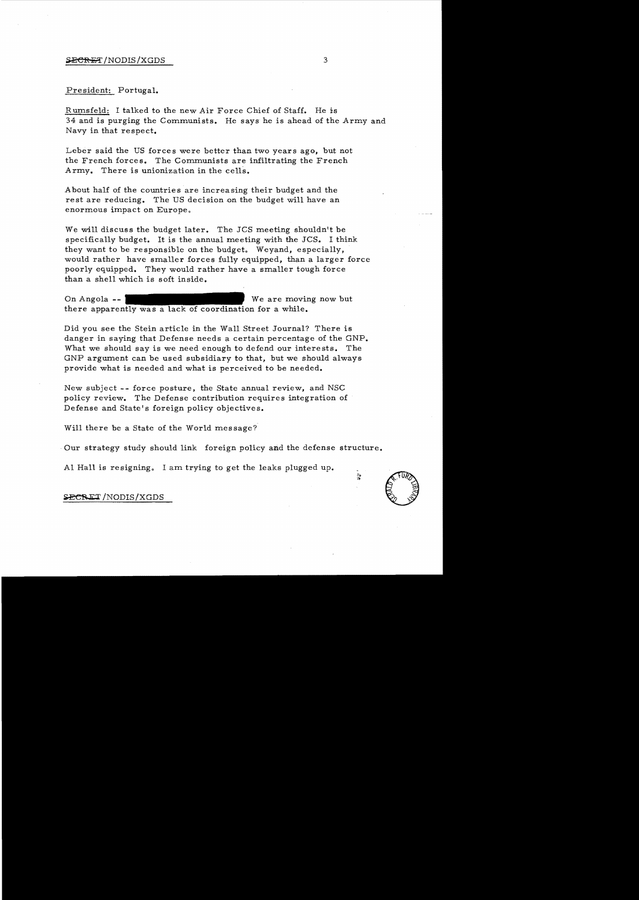## $\frac{\text{SECR}}{\text{E7}}$ /NODIS/XGDS 3

## President: Portugal.

R umsfeld: I talked to the new Air Force Chief of Staff. He is 34 and is purging the Communists. He says he is ahead of the Army and Navy in that respect.

Leber said the US forces were better than two years ago, but not the French forces. The Communists are infiltrating the French Army. There is unionization in the cells.

A bout half of the countries are increasing their budget and the rest are reducing. The US decision on the budget will have an enormous impact on Europe.

We will discuss the budget later. The JCS meeting shouldn't be specifically budget. It is the annual meeting with the JCS. I think they want to be responsible on the budget. Weyand, especially, would rather have smaller forces fully equipped, than a larger force poorly equipped. They would rather have a smaller tough force than a shell which is soft inside.

On Angola there apparently was a lack of coordination for a while. We are moving now but

Did you see the Stein article in the Wall Street Journal? There is danger in saying that Defense needs a certain percentage of the GNP. What we should say is we need enough to defend our interests. The GNP argument can be used subsidiary to that, but we should always provide what is needed and what is perceived to be needed.

New subject -- force posture, the State annual review, and NSC policy review. The Defense contribution requires integration of Defense and State's foreign policy objectives.

Will there be a State of the World message?

Our strategy study should link foreign policy and the defense structure.

Al Hall is resigning. I am trying to get the leaks plugged up. s resigning. I am trying to get the leaks plugged up.<br>
NODIS/XGDS<br>
NODIS/XGDS

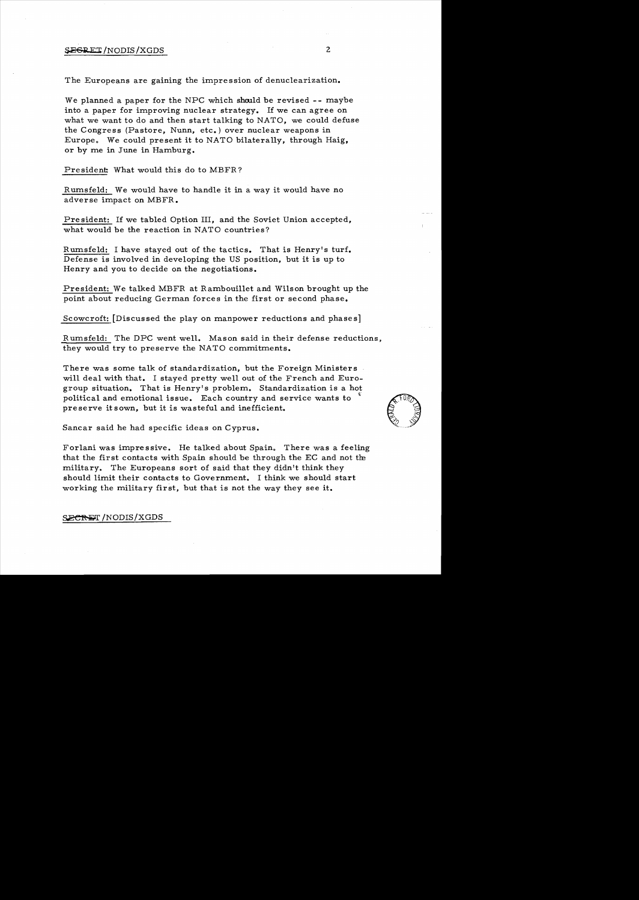# $\frac{1}{2}$   $\frac{1}{2}$   $\frac{1}{2}$   $\frac{1}{2}$   $\frac{1}{2}$   $\frac{1}{2}$   $\frac{1}{2}$   $\frac{1}{2}$   $\frac{1}{2}$   $\frac{1}{2}$   $\frac{1}{2}$   $\frac{1}{2}$   $\frac{1}{2}$   $\frac{1}{2}$   $\frac{1}{2}$   $\frac{1}{2}$   $\frac{1}{2}$   $\frac{1}{2}$   $\frac{1}{2}$   $\frac{1}{2}$   $\frac{1}{2}$   $\frac{1}{2}$

The Europeans are gaining the impression of denuclearization.

We planned a paper for the NPC which should be revised -- maybe into a paper for improving nuclear strategy. If we can agree on what we want to do and then start talking to NATO, we could defuse the Congress (Pastore, Nunn, etc.) over nuclear weapons in Europe. We could present it to NATO bilaterally, through Haig, or by me in June in Hamburg.

President: What would this do to MBFR?

Rumsfeld: We would have to handle it in a way it would have no adverse impact on MBFR.

President: If we tabled Option III, and the Soviet Union accepted, what would be the reaction in NATO countries?

Rumsfeld: I have stayed out of the tactics. That is Henry's turf. Defense is involved in developing the US position, but it is up to Henry and you to decide on the negotiations.

President: We talked MBFR at Rambouillet and Wilson brought up the point about reducing German forces in the first or second phase.

Scowcroft: [Discussed the play on manpower reductions and phases]

R umsfeld: The DPC went well. Mason said in their defense reductions, they would try to preserve the NATO commitments.

There was some talk of standardization, but the Foreign Ministers will deal with that. I stayed pretty well out of the French and Eurogroup situation. That is Henry's problem. Standardization is a hot political and emotional issue. Each country and service wants to preserve it sown, but it is wasteful and inefficient.

Sancar said he had specific ideas on Cyprus.

Forlani was impressive. He talked about Spain. There was a feeling that the first contacts with Spain should be through the EC and not the military. The Europeans sort of said that they didn't think they should limit their contacts to Government. I think we should start working the military first, but that is not the way they see it.

SECRET/NODIS/XGDS